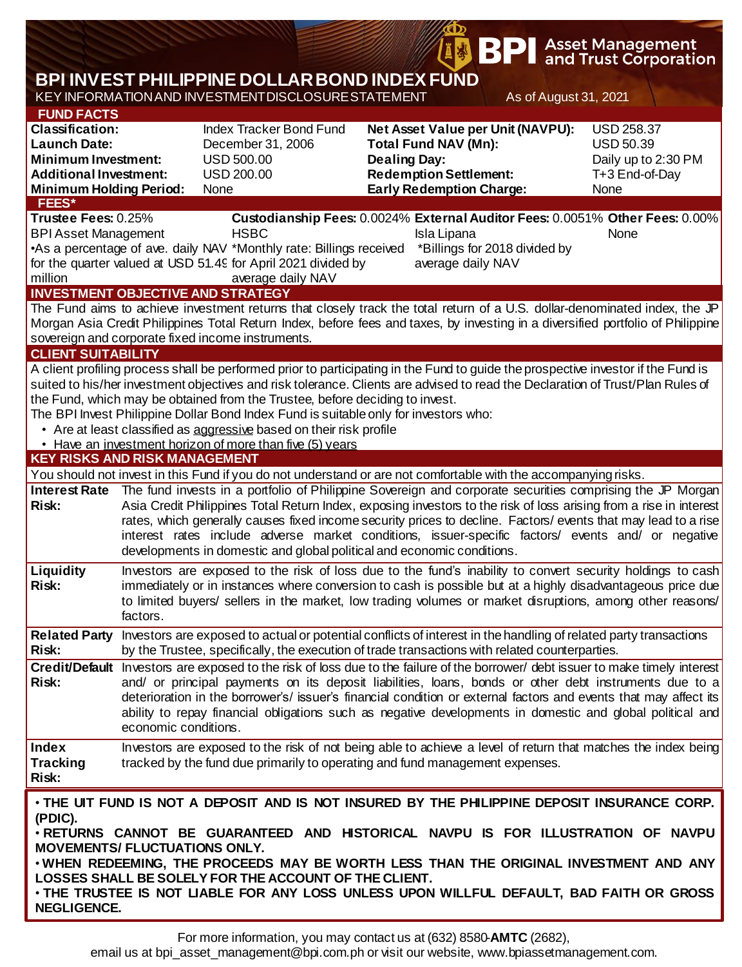|                                                                                                                                                                                                                                                                                                                    |                                                                                                                                                                                                                                                                                                                                                                                                                                                                                                                                                                                                                                                      |                                                                                                                                                                                                                                                                                                                                                                                                                                                                                                                                                                                |                     | <b>BP</b>                                                                                                                            |                       | <b>Asset Management</b><br>and Trust Corporation                                                                                                                                                                                                                                                                                                                      |  |  |
|--------------------------------------------------------------------------------------------------------------------------------------------------------------------------------------------------------------------------------------------------------------------------------------------------------------------|------------------------------------------------------------------------------------------------------------------------------------------------------------------------------------------------------------------------------------------------------------------------------------------------------------------------------------------------------------------------------------------------------------------------------------------------------------------------------------------------------------------------------------------------------------------------------------------------------------------------------------------------------|--------------------------------------------------------------------------------------------------------------------------------------------------------------------------------------------------------------------------------------------------------------------------------------------------------------------------------------------------------------------------------------------------------------------------------------------------------------------------------------------------------------------------------------------------------------------------------|---------------------|--------------------------------------------------------------------------------------------------------------------------------------|-----------------------|-----------------------------------------------------------------------------------------------------------------------------------------------------------------------------------------------------------------------------------------------------------------------------------------------------------------------------------------------------------------------|--|--|
|                                                                                                                                                                                                                                                                                                                    |                                                                                                                                                                                                                                                                                                                                                                                                                                                                                                                                                                                                                                                      | <b>BPI INVEST PHILIPPINE DOLLAR BOND INDEX FUND</b>                                                                                                                                                                                                                                                                                                                                                                                                                                                                                                                            |                     |                                                                                                                                      |                       |                                                                                                                                                                                                                                                                                                                                                                       |  |  |
|                                                                                                                                                                                                                                                                                                                    |                                                                                                                                                                                                                                                                                                                                                                                                                                                                                                                                                                                                                                                      | KEY INFORMATION AND INVESTMENT DISCLOSURE STATEMENT                                                                                                                                                                                                                                                                                                                                                                                                                                                                                                                            |                     |                                                                                                                                      | As of August 31, 2021 |                                                                                                                                                                                                                                                                                                                                                                       |  |  |
| <b>FUND FACTS</b><br><b>Classification:</b><br><b>Launch Date:</b><br><b>Minimum Investment:</b><br><b>Additional Investment:</b><br><b>Minimum Holding Period:</b><br><b>FEES*</b>                                                                                                                                |                                                                                                                                                                                                                                                                                                                                                                                                                                                                                                                                                                                                                                                      | Index Tracker Bond Fund<br>December 31, 2006<br><b>USD 500.00</b><br><b>USD 200.00</b><br>None                                                                                                                                                                                                                                                                                                                                                                                                                                                                                 | <b>Dealing Day:</b> | Net Asset Value per Unit (NAVPU):<br><b>Total Fund NAV (Mn):</b><br><b>Redemption Settlement:</b><br><b>Early Redemption Charge:</b> |                       | <b>USD 258.37</b><br><b>USD 50.39</b><br>Daily up to 2:30 PM<br>T+3 End-of-Day<br>None                                                                                                                                                                                                                                                                                |  |  |
| Trustee Fees: 0.25%<br><b>BPI Asset Management</b><br>million                                                                                                                                                                                                                                                      |                                                                                                                                                                                                                                                                                                                                                                                                                                                                                                                                                                                                                                                      | <b>HSBC</b><br>•As a percentage of ave. daily NAV *Monthly rate: Billings received *Billings for 2018 divided by<br>for the quarter valued at USD 51.49 for April 2021 divided by<br>average daily NAV<br><b>INVESTMENT OBJECTIVE AND STRATEGY</b>                                                                                                                                                                                                                                                                                                                             |                     | Isla Lipana<br>average daily NAV                                                                                                     |                       | Custodianship Fees: 0.0024% External Auditor Fees: 0.0051% Other Fees: 0.00%<br>None                                                                                                                                                                                                                                                                                  |  |  |
| The Fund aims to achieve investment returns that closely track the total return of a U.S. dollar-denominated index, the JP<br>Morgan Asia Credit Philippines Total Return Index, before fees and taxes, by investing in a diversified portfolio of Philippine<br>sovereign and corporate fixed income instruments. |                                                                                                                                                                                                                                                                                                                                                                                                                                                                                                                                                                                                                                                      |                                                                                                                                                                                                                                                                                                                                                                                                                                                                                                                                                                                |                     |                                                                                                                                      |                       |                                                                                                                                                                                                                                                                                                                                                                       |  |  |
| <b>CLIENT SUITABILITY</b>                                                                                                                                                                                                                                                                                          |                                                                                                                                                                                                                                                                                                                                                                                                                                                                                                                                                                                                                                                      |                                                                                                                                                                                                                                                                                                                                                                                                                                                                                                                                                                                |                     |                                                                                                                                      |                       |                                                                                                                                                                                                                                                                                                                                                                       |  |  |
|                                                                                                                                                                                                                                                                                                                    |                                                                                                                                                                                                                                                                                                                                                                                                                                                                                                                                                                                                                                                      | A client profiling process shall be performed prior to participating in the Fund to guide the prospective investor if the Fund is<br>suited to his/her investment objectives and risk tolerance. Clients are advised to read the Declaration of Trust/Plan Rules of<br>the Fund, which may be obtained from the Trustee, before deciding to invest.<br>The BPI Invest Philippine Dollar Bond Index Fund is suitable only for investors who:<br>• Are at least classified as aggressive based on their risk profile<br>• Have an investment horizon of more than five (5) years |                     |                                                                                                                                      |                       |                                                                                                                                                                                                                                                                                                                                                                       |  |  |
| <b>KEY RISKS AND RISK MANAGEMENT</b>                                                                                                                                                                                                                                                                               |                                                                                                                                                                                                                                                                                                                                                                                                                                                                                                                                                                                                                                                      |                                                                                                                                                                                                                                                                                                                                                                                                                                                                                                                                                                                |                     |                                                                                                                                      |                       |                                                                                                                                                                                                                                                                                                                                                                       |  |  |
| <b>Interest Rate</b><br><b>Risk:</b>                                                                                                                                                                                                                                                                               | You should not invest in this Fund if you do not understand or are not comfortable with the accompanying risks.<br>The fund invests in a portfolio of Philippine Sovereign and corporate securities comprising the JP Morgan<br>Asia Credit Philippines Total Return Index, exposing investors to the risk of loss arising from a rise in interest<br>rates, which generally causes fixed income security prices to decline. Factors/ events that may lead to a rise<br>interest rates include adverse market conditions, issuer-specific factors/ events and/ or negative<br>developments in domestic and global political and economic conditions. |                                                                                                                                                                                                                                                                                                                                                                                                                                                                                                                                                                                |                     |                                                                                                                                      |                       |                                                                                                                                                                                                                                                                                                                                                                       |  |  |
| <b>Liquidity</b><br><b>Risk:</b>                                                                                                                                                                                                                                                                                   | factors.                                                                                                                                                                                                                                                                                                                                                                                                                                                                                                                                                                                                                                             | Investors are exposed to the risk of loss due to the fund's inability to convert security holdings to cash<br>immediately or in instances where conversion to cash is possible but at a highly disadvantageous price due<br>to limited buyers/ sellers in the market, low trading volumes or market disruptions, among other reasons/                                                                                                                                                                                                                                          |                     |                                                                                                                                      |                       |                                                                                                                                                                                                                                                                                                                                                                       |  |  |
| <b>Related Party</b><br><b>Risk:</b>                                                                                                                                                                                                                                                                               |                                                                                                                                                                                                                                                                                                                                                                                                                                                                                                                                                                                                                                                      | Investors are exposed to actual or potential conflicts of interest in the handling of related party transactions<br>by the Trustee, specifically, the execution of trade transactions with related counterparties.                                                                                                                                                                                                                                                                                                                                                             |                     |                                                                                                                                      |                       |                                                                                                                                                                                                                                                                                                                                                                       |  |  |
| <b>Risk:</b>                                                                                                                                                                                                                                                                                                       |                                                                                                                                                                                                                                                                                                                                                                                                                                                                                                                                                                                                                                                      | Credit/Default Investors are exposed to the risk of loss due to the failure of the borrower/ debt issuer to make timely interest<br>and/ or principal payments on its deposit liabilities, loans, bonds or other debt instruments due to a<br>deterioration in the borrower's/ issuer's financial condition or external factors and events that may affect its<br>ability to repay financial obligations such as negative developments in domestic and global political and<br>economic conditions.                                                                            |                     |                                                                                                                                      |                       |                                                                                                                                                                                                                                                                                                                                                                       |  |  |
| <b>Index</b><br><b>Tracking</b><br><b>Risk:</b>                                                                                                                                                                                                                                                                    |                                                                                                                                                                                                                                                                                                                                                                                                                                                                                                                                                                                                                                                      | tracked by the fund due primarily to operating and fund management expenses.                                                                                                                                                                                                                                                                                                                                                                                                                                                                                                   |                     |                                                                                                                                      |                       | Investors are exposed to the risk of not being able to achieve a level of return that matches the index being                                                                                                                                                                                                                                                         |  |  |
| (PDIC).<br><b>MOVEMENTS/ FLUCTUATIONS ONLY.</b><br><b>NEGLIGENCE.</b>                                                                                                                                                                                                                                              |                                                                                                                                                                                                                                                                                                                                                                                                                                                                                                                                                                                                                                                      | LOSSES SHALL BE SOLELY FOR THE ACCOUNT OF THE CLIENT.                                                                                                                                                                                                                                                                                                                                                                                                                                                                                                                          |                     |                                                                                                                                      |                       | . THE UIT FUND IS NOT A DEPOSIT AND IS NOT INSURED BY THE PHILIPPINE DEPOSIT INSURANCE CORP.<br>. RETURNS CANNOT BE GUARANTEED AND HISTORICAL NAVPU IS FOR ILLUSTRATION OF NAVPU<br>. WHEN REDEEMING, THE PROCEEDS MAY BE WORTH LESS THAN THE ORIGINAL INVESTMENT AND ANY<br>. THE TRUSTEE IS NOT LIABLE FOR ANY LOSS UNLESS UPON WILLFUL DEFAULT, BAD FAITH OR GROSS |  |  |

困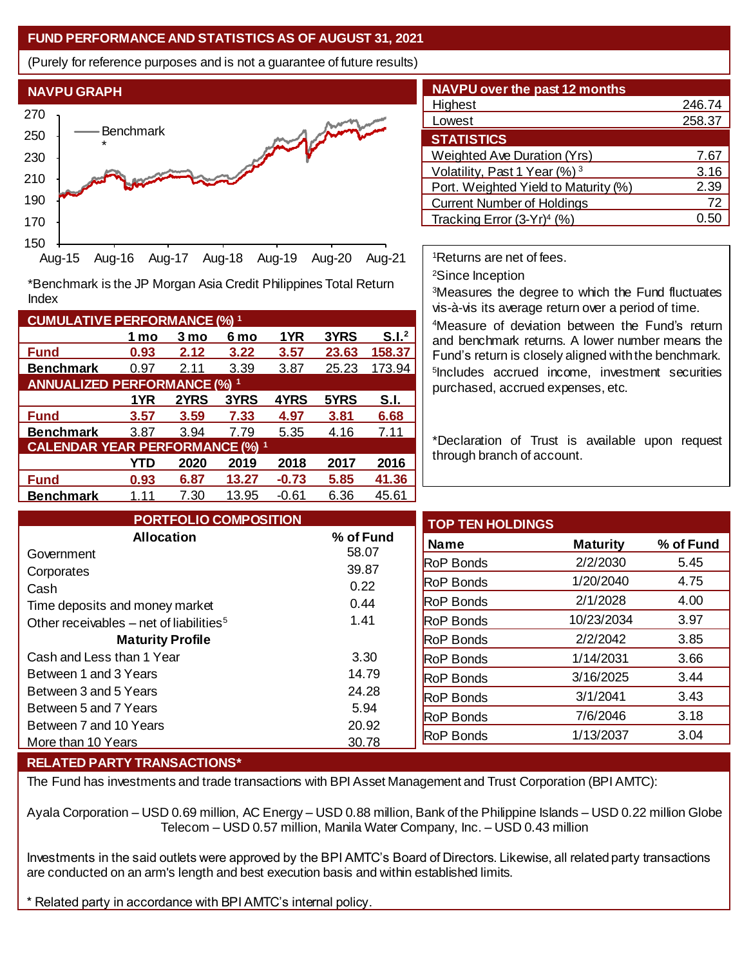## **FUND PERFORMANCE AND STATISTICS AS OF AUGUST 31, 2021**

(Purely for reference purposes and is not a guarantee of future results)



**Fund 0.93 2.12 3.22 3.57 23.63 158.37 Benchmark** 0.97 2.11 3.39 3.87 25.23 173.94

\*Benchmark is the JP Morgan Asia Credit Philippines Total Return

**Fund 3.57 3.59 7.33 4.97 3.81 6.68 Benchmark** 3.87 3.94 7.79 5.35 4.16 7.11

**Fund 0.93 6.87 13.27 -0.73 5.85 41.36 Benchmark** 1.11 7.30 13.95 -0.61 6.36 45.61

**1 mo 3 mo 6 mo 1YR 3YRS S.I.<sup>2</sup>**

**1YR 2YRS 3YRS 4YRS 5YRS S.I.**

**YTD 2020 2019 2018 2017 2016**

| <b>NAVPU over the past 12 months</b>     |        |
|------------------------------------------|--------|
| Highest                                  | 246.74 |
| Lowest                                   | 258.37 |
| <b>STATISTICS</b>                        |        |
| <b>Weighted Ave Duration (Yrs)</b>       | 7.67   |
| Volatility, Past 1 Year (%) <sup>3</sup> | 3.16   |
| Port. Weighted Yield to Maturity (%)     | 2.39   |
| <b>Current Number of Holdings</b>        | 72     |
| Tracking Error $(3-Yr)^4$ (%)            |        |

<sup>1</sup>Returns are net of fees.

<sup>2</sup>Since Inception

<sup>3</sup>Measures the degree to which the Fund fluctuates vis-à-vis its average return over a period of time.

<sup>4</sup>Measure of deviation between the Fund's return and benchmark returns. A lower number means the Fund's return is closely aligned with the benchmark. 5 Includes accrued income, investment securities purchased, accrued expenses, etc.

\*Declaration of Trust is available upon request through branch of account.

| <b>PORTFOLIO COMPOSITION</b>                        |           | <b>TOP TEN HOLDINGS</b> |                 |           |
|-----------------------------------------------------|-----------|-------------------------|-----------------|-----------|
| <b>Allocation</b>                                   | % of Fund | <b>Name</b>             | <b>Maturity</b> | % of Fund |
| Government                                          | 58.07     | <b>RoP Bonds</b>        | 2/2/2030        | 5.45      |
| Corporates                                          | 39.87     |                         |                 |           |
| Cash                                                | 0.22      | <b>RoP Bonds</b>        | 1/20/2040       | 4.75      |
| Time deposits and money market                      | 0.44      | <b>RoP Bonds</b>        | 2/1/2028        | 4.00      |
| Other receivables – net of liabilities <sup>5</sup> | 1.41      | <b>RoP Bonds</b>        | 10/23/2034      | 3.97      |
| <b>Maturity Profile</b>                             |           | <b>RoP Bonds</b>        | 2/2/2042        | 3.85      |
| Cash and Less than 1 Year                           | 3.30      | <b>RoP Bonds</b>        | 1/14/2031       | 3.66      |
| Between 1 and 3 Years                               | 14.79     | <b>RoP Bonds</b>        | 3/16/2025       | 3.44      |
| Between 3 and 5 Years                               | 24.28     | <b>RoP Bonds</b>        | 3/1/2041        | 3.43      |
| Between 5 and 7 Years                               | 5.94      |                         | 7/6/2046        | 3.18      |
| Between 7 and 10 Years                              | 20.92     | <b>RoP Bonds</b>        |                 |           |
| More than 10 Years                                  | 30.78     | <b>RoP Bonds</b>        | 1/13/2037       | 3.04      |

## **RELATED PARTY TRANSACTIONS\***

**CUMULATIVE PERFORMANCE (%) <sup>1</sup>**

Index

**ANNUALIZED PERFORMANCE (%) <sup>1</sup>**

**CALENDAR YEAR PERFORMANCE (%) <sup>1</sup>**

The Fund has investments and trade transactions with BPI Asset Management and Trust Corporation (BPI AMTC):

Ayala Corporation – USD 0.69 million, AC Energy – USD 0.88 million, Bank of the Philippine Islands – USD 0.22 million Globe Telecom – USD 0.57 million, Manila Water Company, Inc. – USD 0.43 million

Investments in the said outlets were approved by the BPI AMTC's Board of Directors. Likewise, all related party transactions are conducted on an arm's length and best execution basis and within established limits.

\* Related party in accordance with BPI AMTC's internal policy.